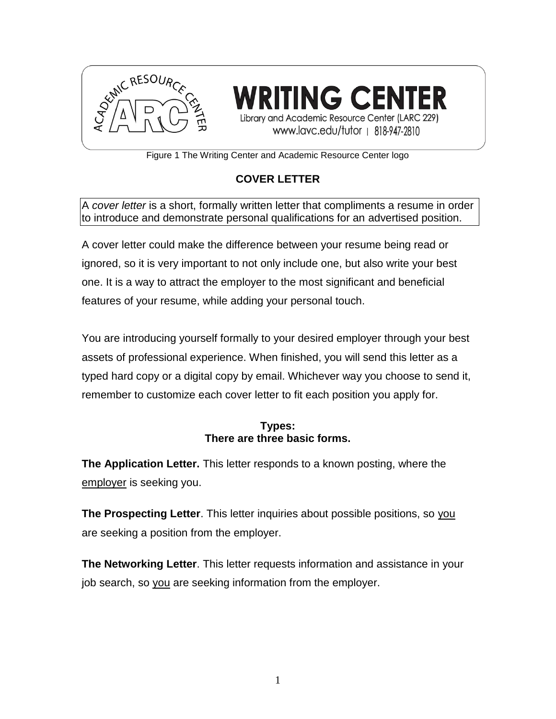

**TING CENT** Library and Academic Resource Center (LARC 229) www.lavc.edu/tutor | 818-947-2810

Figure 1 The Writing Center and Academic Resource Center logo

# **COVER LETTER**

A *cover letter* is a short, formally written letter that compliments a resume in order to introduce and demonstrate personal qualifications for an advertised position.

A cover letter could make the difference between your resume being read or ignored, so it is very important to not only include one, but also write your best one. It is a way to attract the employer to the most significant and beneficial features of your resume, while adding your personal touch.

You are introducing yourself formally to your desired employer through your best assets of professional experience. When finished, you will send this letter as a typed hard copy or a digital copy by email. Whichever way you choose to send it, remember to customize each cover letter to fit each position you apply for.

### **Types: There are three basic forms.**

**The Application Letter.** This letter responds to a known posting, where the employer is seeking you.

**The Prospecting Letter**. This letter inquiries about possible positions, so you are seeking a position from the employer.

**The Networking Letter**. This letter requests information and assistance in your job search, so you are seeking information from the employer.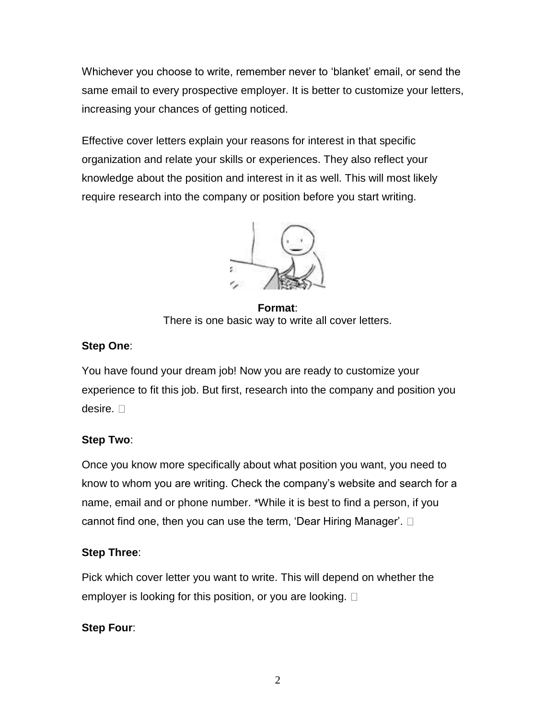Whichever you choose to write, remember never to 'blanket' email, or send the same email to every prospective employer. It is better to customize your letters, increasing your chances of getting noticed.

Effective cover letters explain your reasons for interest in that specific organization and relate your skills or experiences. They also reflect your knowledge about the position and interest in it as well. This will most likely require research into the company or position before you start writing.



**Format**: There is one basic way to write all cover letters.

# **Step One**:

You have found your dream job! Now you are ready to customize your experience to fit this job. But first, research into the company and position you desire.  $\square$ 

# **Step Two**:

Once you know more specifically about what position you want, you need to know to whom you are writing. Check the company's website and search for a name, email and or phone number. \*While it is best to find a person, if you cannot find one, then you can use the term, 'Dear Hiring Manager'.

# **Step Three**:

Pick which cover letter you want to write. This will depend on whether the employer is looking for this position, or you are looking.  $\square$ 

# **Step Four**: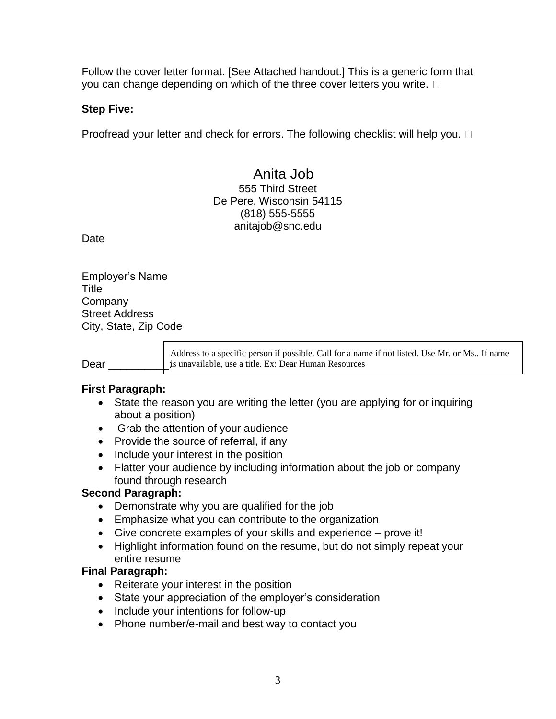Follow the cover letter format. [See Attached handout.] This is a generic form that you can change depending on which of the three cover letters you write.  $\square$ 

#### **Step Five:**

Proofread your letter and check for errors. The following checklist will help you.  $\Box$ 

### Anita Job 555 Third Street De Pere, Wisconsin 54115 (818) 555-5555 anitajob@snc.edu

Date

Employer's Name Title **Company** Street Address City, State, Zip Code

Address to a specific person if possible. Call for a name if not listed. Use Mr. or Ms.. If name is unavailable, use a title. Ex: Dear Human Resources Dear

#### **First Paragraph:**

- State the reason you are writing the letter (you are applying for or inquiring about a position)
- Grab the attention of your audience
- Provide the source of referral, if any
- Include your interest in the position
- Flatter your audience by including information about the job or company found through research

#### **Second Paragraph:**

- Demonstrate why you are qualified for the job
- Emphasize what you can contribute to the organization
- Give concrete examples of your skills and experience prove it!
- Highlight information found on the resume, but do not simply repeat your entire resume

#### **Final Paragraph:**

- Reiterate your interest in the position
- State your appreciation of the employer's consideration
- Include your intentions for follow-up
- Phone number/e-mail and best way to contact you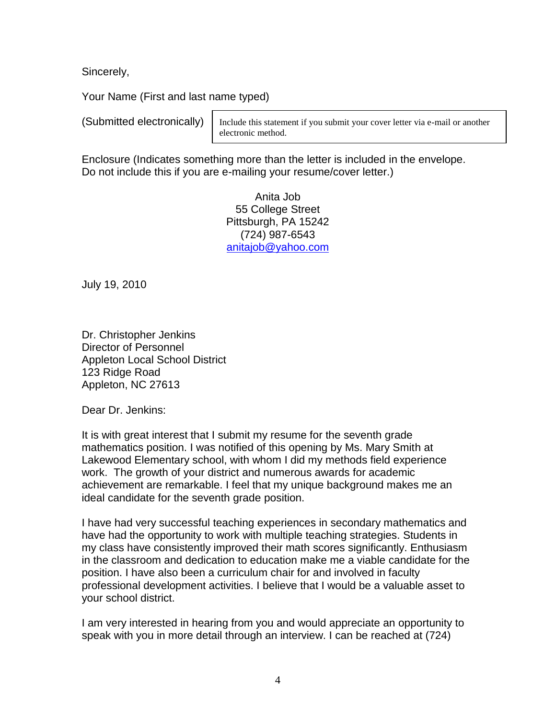Sincerely,

Your Name (First and last name typed)

(Submitted electronically)

Include this statement if you submit your cover letter via e-mail or another electronic method.

Enclosure (Indicates something more than the letter is included in the envelope. Do not include this if you are e-mailing your resume/cover letter.)

> Anita Job 55 College Street Pittsburgh, PA 15242 (724) 987-6543 [anitajob@yahoo.com](mailto:Janewalkerman@yahoo.com)

July 19, 2010

Dr. Christopher Jenkins Director of Personnel Appleton Local School District 123 Ridge Road Appleton, NC 27613

Dear Dr. Jenkins:

It is with great interest that I submit my resume for the seventh grade mathematics position. I was notified of this opening by Ms. Mary Smith at Lakewood Elementary school, with whom I did my methods field experience work. The growth of your district and numerous awards for academic achievement are remarkable. I feel that my unique background makes me an ideal candidate for the seventh grade position.

I have had very successful teaching experiences in secondary mathematics and have had the opportunity to work with multiple teaching strategies. Students in my class have consistently improved their math scores significantly. Enthusiasm in the classroom and dedication to education make me a viable candidate for the position. I have also been a curriculum chair for and involved in faculty professional development activities. I believe that I would be a valuable asset to your school district.

I am very interested in hearing from you and would appreciate an opportunity to speak with you in more detail through an interview. I can be reached at (724)